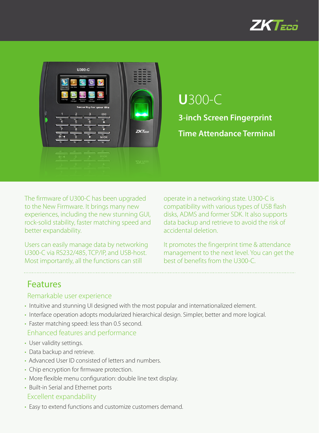



The firmware of U300-C has been upgraded to the New Firmware. It brings many new experiences, including the new stunning GUI, rock-solid stability, faster matching speed and better expandability.

Users can easily manage data by networking U300-C via RS232/485, TCP/IP, and USB-host. Most importantly, all the functions can still

operate in a networking state. U300-C is compatibility with various types of USB flash disks, ADMS and former SDK. It also supports data backup and retrieve to avoid the risk of accidental deletion.

It promotes the fingerprint time & attendance management to the next level. You can get the best of benefits from the U300-C.

### Features

#### Remarkable user experience

- Intuitive and stunning UI designed with the most popular and internationalized element.
- Interface operation adopts modularized hierarchical design. Simpler, better and more logical.
- Faster matching speed: less than 0.5 second. Enhanced features and performance
- User validity settings.
- Data backup and retrieve.
- Advanced User ID consisted of letters and numbers.
- Chip encryption for firmware protection.
- More flexible menu configuration: double line text display.
- Built-in Serial and Ethernet ports Excellent expandability
- Easy to extend functions and customize customers demand.